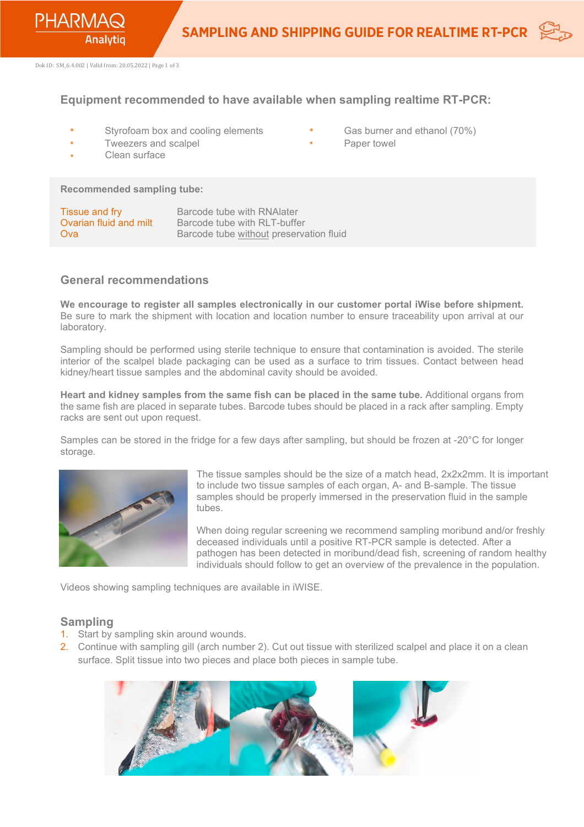

Dok ID: SM\_6.4.002 | Valid from: 20.05.2022 | Page 1 of 3

## **Equipment recommended to have available when sampling realtime RT-PCR:**

- Styrofoam box and cooling elements
- Gas burner and ethanol (70%)
- Paper towel

• Tweezers and scalpel Clean surface

**Recommended sampling tube:** 

| Tissue and fry         | Barcode tube with RNA ater              |
|------------------------|-----------------------------------------|
| Ovarian fluid and milt | Barcode tube with RLT-buffer            |
| Ova                    | Barcode tube without preservation fluid |

#### **General recommendations**

**We encourage to register all samples electronically in our customer portal iWise before shipment.**  Be sure to mark the shipment with location and location number to ensure traceability upon arrival at our laboratory.

Sampling should be performed using sterile technique to ensure that contamination is avoided. The sterile interior of the scalpel blade packaging can be used as a surface to trim tissues. Contact between head kidney/heart tissue samples and the abdominal cavity should be avoided.

**Heart and kidney samples from the same fish can be placed in the same tube.** Additional organs from the same fish are placed in separate tubes. Barcode tubes should be placed in a rack after sampling. Empty racks are sent out upon request.

Samples can be stored in the fridge for a few days after sampling, but should be frozen at -20°C for longer storage.



The tissue samples should be the size of a match head, 2x2x2mm. It is important to include two tissue samples of each organ, A- and B-sample. The tissue samples should be properly immersed in the preservation fluid in the sample tubes.

When doing regular screening we recommend sampling moribund and/or freshly deceased individuals until a positive RT-PCR sample is detected. After a pathogen has been detected in moribund/dead fish, screening of random healthy individuals should follow to get an overview of the prevalence in the population.

Videos showing sampling techniques are available in iWISE.

#### **Sampling**

- 1. Start by sampling skin around wounds.
- 2. Continue with sampling gill (arch number 2). Cut out tissue with sterilized scalpel and place it on a clean surface. Split tissue into two pieces and place both pieces in sample tube.

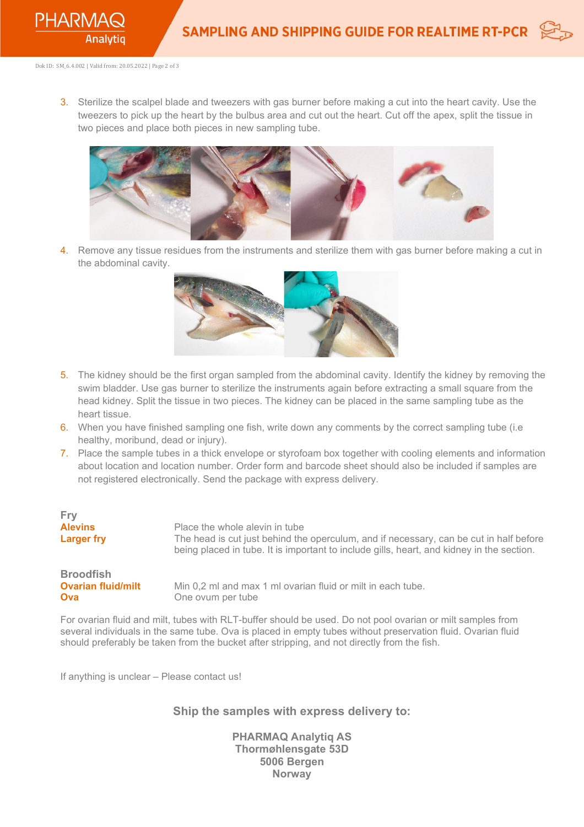

Dok ID: SM\_6.4.002 | Valid from: 20.05.2022 | Page 2 of 3

3. Sterilize the scalpel blade and tweezers with gas burner before making a cut into the heart cavity. Use the tweezers to pick up the heart by the bulbus area and cut out the heart. Cut off the apex, split the tissue in two pieces and place both pieces in new sampling tube.



4. Remove any tissue residues from the instruments and sterilize them with gas burner before making a cut in the abdominal cavity.



- 5. The kidney should be the first organ sampled from the abdominal cavity. Identify the kidney by removing the swim bladder. Use gas burner to sterilize the instruments again before extracting a small square from the head kidney. Split the tissue in two pieces. The kidney can be placed in the same sampling tube as the heart tissue.
- 6. When you have finished sampling one fish, write down any comments by the correct sampling tube (i.e healthy, moribund, dead or injury).
- 7. Place the sample tubes in a thick envelope or styrofoam box together with cooling elements and information about location and location number. Order form and barcode sheet should also be included if samples are not registered electronically. Send the package with express delivery.

| Fry                                                  | Place the whole alevin in tube                                                            |
|------------------------------------------------------|-------------------------------------------------------------------------------------------|
| <b>Alevins</b>                                       | The head is cut just behind the operculum, and if necessary, can be cut in half before    |
| <b>Larger fry</b>                                    | being placed in tube. It is important to include gills, heart, and kidney in the section. |
| <b>Broodfish</b><br><b>Ovarian fluid/milt</b><br>Ova | Min 0,2 ml and max 1 ml ovarian fluid or milt in each tube.<br>One ovum per tube          |

For ovarian fluid and milt, tubes with RLT-buffer should be used. Do not pool ovarian or milt samples from several individuals in the same tube. Ova is placed in empty tubes without preservation fluid. Ovarian fluid should preferably be taken from the bucket after stripping, and not directly from the fish.

If anything is unclear – Please contact us!

### **Ship the samples with express delivery to:**

**PHARMAQ Analytiq AS Thormøhlensgate 53D 5006 Bergen Norway**